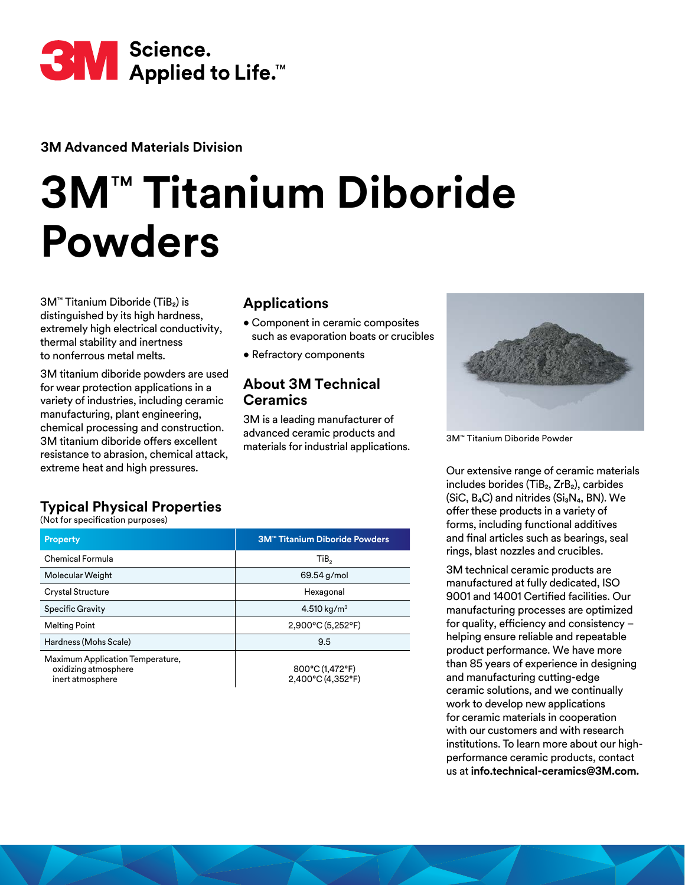

**3M Advanced Materials Division**

# **3M**™ **Titanium Diboride Powders**

3M™ Titanium Diboride (TiB₂) is distinguished by its high hardness, extremely high electrical conductivity, thermal stability and inertness to nonferrous metal melts.

3M titanium diboride powders are used for wear protection applications in a variety of industries, including ceramic manufacturing, plant engineering, chemical processing and construction. 3M titanium diboride offers excellent resistance to abrasion, chemical attack, extreme heat and high pressures.

### **Applications**

- Component in ceramic composites such as evaporation boats or crucibles
- Refractory components

### **About 3M Technical Ceramics**

3M is a leading manufacturer of advanced ceramic products and materials for industrial applications.



3M™ Titanium Diboride Powder

Our extensive range of ceramic materials includes borides (TiB₂, ZrB₂), carbides (SiC,  $B_4C$ ) and nitrides ( $Si_3N_4$ , BN). We offer these products in a variety of forms, including functional additives and final articles such as bearings, seal rings, blast nozzles and crucibles.

3M technical ceramic products are manufactured at fully dedicated, ISO 9001 and 14001 Certified facilities. Our manufacturing processes are optimized for quality, efficiency and consistency – helping ensure reliable and repeatable product performance. We have more than 85 years of experience in designing and manufacturing cutting-edge ceramic solutions, and we continually work to develop new applications for ceramic materials in cooperation with our customers and with research institutions. To learn more about our highperformance ceramic products, contact us at **info.technical-ceramics@3M.com.**

# **Typical Physical Properties**

(Not for specification purposes)

| <b>Property</b>                                                              | <b>3M™ Titanium Diboride Powders</b> |
|------------------------------------------------------------------------------|--------------------------------------|
| Chemical Formula                                                             | TiB,                                 |
| Molecular Weight                                                             | 69.54 g/mol                          |
| <b>Crystal Structure</b>                                                     | Hexagonal                            |
| <b>Specific Gravity</b>                                                      | 4.510 kg/m <sup>3</sup>              |
| <b>Melting Point</b>                                                         | $2,900^{\circ}$ C (5,252°F)          |
| Hardness (Mohs Scale)                                                        | 9.5                                  |
| Maximum Application Temperature,<br>oxidizing atmosphere<br>inert atmosphere | 800°C (1,472°F)<br>2.400°C (4.352°F) |